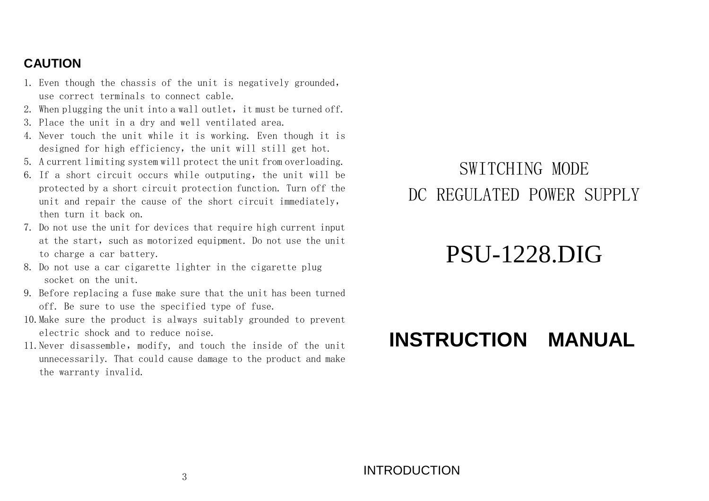### **CAUTION**

- 1. Even though the chassis of the unit is negatively grounded,use correct terminals to connect cable.
- 2. When plugging the unit into a wall outlet, it must be turned off.  $\overline{\phantom{a}}$
- 3. Place the unit in a dry and well ventilated area.
- 4. Never touch the unit while it is working. Even though it is designed for high efficiency, the unit will still get hot.
- 5. A current limiting system will protect the unit from overloading.
- 6. If a short circuit occurs while outputing, the unit will be protected by a short circuit protection function. Turn off the unit and repair the cause of the short circuit immediately,then turn it back on.
- 7. Do not use the unit for devices that require high current input at the start, such as motorized equipment. Do not use the unit to charge a car battery.
- 8. Do not use a car cigarette lighter in the cigarette plug socket on the unit.
- 9. Before replacing a fuse make sure that the unit has been turned off. Be sure to use the specified type of fuse.
- 10.Make sure the product is always suitably grounded to prevent electric shock and to reduce noise.
- 11.Never disassemble, modify, and touch the inside of the unit unnecessarily. That could cause damage to the product and make the warranty invalid.

### SWITCHING MODE DC REGULATED POWER SUPPLY

# PSU-1228.DIG

## **INSTRUCTION MANUAL**